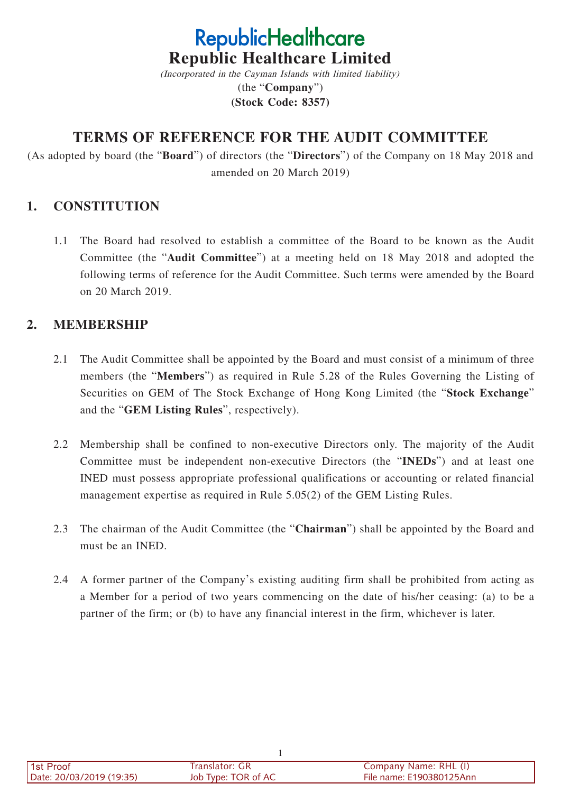# **RepublicHealthcare Republic Healthcare Limited**

(Incorporated in the Cayman Islands with limited liability) (the "**Company**") **(Stock Code: 8357)**

# **TERMS OF REFERENCE FOR THE AUDIT COMMITTEE**

(As adopted by board (the "**Board**") of directors (the "**Directors**") of the Company on 18 May 2018 and amended on 20 March 2019)

## **1. CONSTITUTION**

1.1 The Board had resolved to establish a committee of the Board to be known as the Audit Committee (the "**Audit Committee**") at a meeting held on 18 May 2018 and adopted the following terms of reference for the Audit Committee. Such terms were amended by the Board on 20 March 2019.

## **2. MEMBERSHIP**

- 2.1 The Audit Committee shall be appointed by the Board and must consist of a minimum of three members (the "**Members**") as required in Rule 5.28 of the Rules Governing the Listing of Securities on GEM of The Stock Exchange of Hong Kong Limited (the "**Stock Exchange**" and the "**GEM Listing Rules**", respectively).
- 2.2 Membership shall be confined to non-executive Directors only. The majority of the Audit Committee must be independent non-executive Directors (the "**INEDs**") and at least one INED must possess appropriate professional qualifications or accounting or related financial management expertise as required in Rule 5.05(2) of the GEM Listing Rules.
- 2.3 The chairman of the Audit Committee (the "**Chairman**") shall be appointed by the Board and must be an INED.
- 2.4 A former partner of the Company's existing auditing firm shall be prohibited from acting as a Member for a period of two years commencing on the date of his/her ceasing: (a) to be a partner of the firm; or (b) to have any financial interest in the firm, whichever is later.

| 1st Proof                | Translator: GR      | Company Name: RHL (I)    |
|--------------------------|---------------------|--------------------------|
| Date: 20/03/2019 (19:35) | Job Type: TOR of AC | File name: E190380125Ann |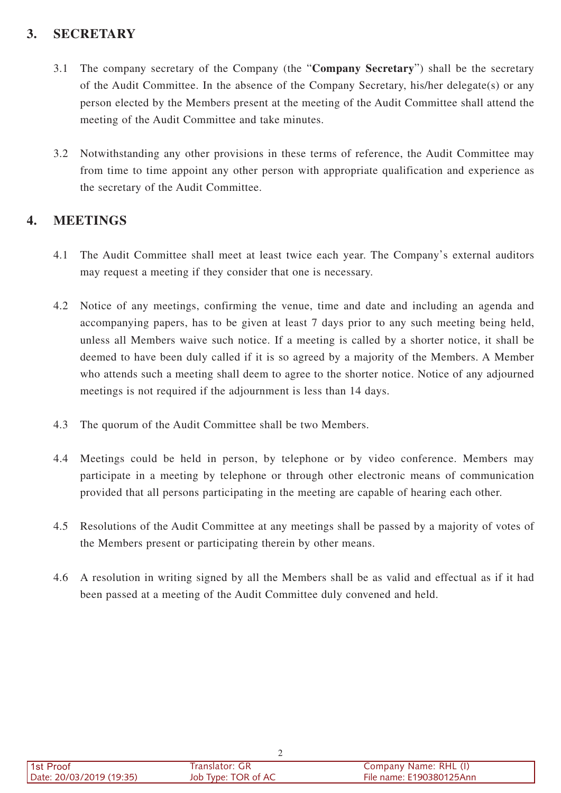# **3. SECRETARY**

- 3.1 The company secretary of the Company (the "**Company Secretary**") shall be the secretary of the Audit Committee. In the absence of the Company Secretary, his/her delegate(s) or any person elected by the Members present at the meeting of the Audit Committee shall attend the meeting of the Audit Committee and take minutes.
- 3.2 Notwithstanding any other provisions in these terms of reference, the Audit Committee may from time to time appoint any other person with appropriate qualification and experience as the secretary of the Audit Committee.

## **4. MEETINGS**

- 4.1 The Audit Committee shall meet at least twice each year. The Company's external auditors may request a meeting if they consider that one is necessary.
- 4.2 Notice of any meetings, confirming the venue, time and date and including an agenda and accompanying papers, has to be given at least 7 days prior to any such meeting being held, unless all Members waive such notice. If a meeting is called by a shorter notice, it shall be deemed to have been duly called if it is so agreed by a majority of the Members. A Member who attends such a meeting shall deem to agree to the shorter notice. Notice of any adjourned meetings is not required if the adjournment is less than 14 days.
- 4.3 The quorum of the Audit Committee shall be two Members.
- 4.4 Meetings could be held in person, by telephone or by video conference. Members may participate in a meeting by telephone or through other electronic means of communication provided that all persons participating in the meeting are capable of hearing each other.
- 4.5 Resolutions of the Audit Committee at any meetings shall be passed by a majority of votes of the Members present or participating therein by other means.
- 4.6 A resolution in writing signed by all the Members shall be as valid and effectual as if it had been passed at a meeting of the Audit Committee duly convened and held.

| 1st Proof                | Franslator: GR      | Company Name: RHL (I)    |
|--------------------------|---------------------|--------------------------|
| Date: 20/03/2019 (19:35) | Job Type: TOR of AC | File name: E190380125Ann |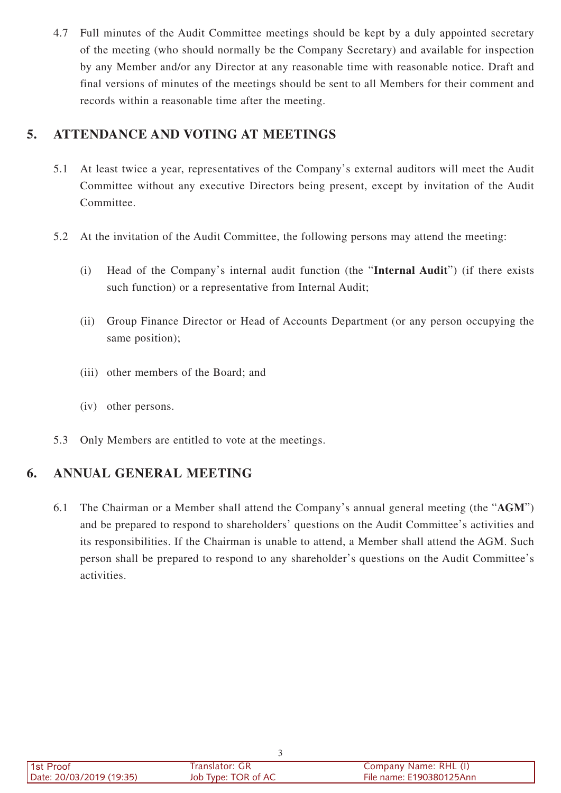4.7 Full minutes of the Audit Committee meetings should be kept by a duly appointed secretary of the meeting (who should normally be the Company Secretary) and available for inspection by any Member and/or any Director at any reasonable time with reasonable notice. Draft and final versions of minutes of the meetings should be sent to all Members for their comment and records within a reasonable time after the meeting.

## **5. ATTENDANCE AND VOTING AT MEETINGS**

- 5.1 At least twice a year, representatives of the Company's external auditors will meet the Audit Committee without any executive Directors being present, except by invitation of the Audit Committee.
- 5.2 At the invitation of the Audit Committee, the following persons may attend the meeting:
	- (i) Head of the Company's internal audit function (the "**Internal Audit**") (if there exists such function) or a representative from Internal Audit;
	- (ii) Group Finance Director or Head of Accounts Department (or any person occupying the same position);
	- (iii) other members of the Board; and
	- (iv) other persons.
- 5.3 Only Members are entitled to vote at the meetings.

# **6. ANNUAL GENERAL MEETING**

6.1 The Chairman or a Member shall attend the Company's annual general meeting (the "**AGM**") and be prepared to respond to shareholders' questions on the Audit Committee's activities and its responsibilities. If the Chairman is unable to attend, a Member shall attend the AGM. Such person shall be prepared to respond to any shareholder's questions on the Audit Committee's activities.

| 1st Proof                | Translator: GR      | Company Name: RHL (I)    |
|--------------------------|---------------------|--------------------------|
| Date: 20/03/2019 (19:35) | Job Type: TOR of AC | File name: E190380125Ann |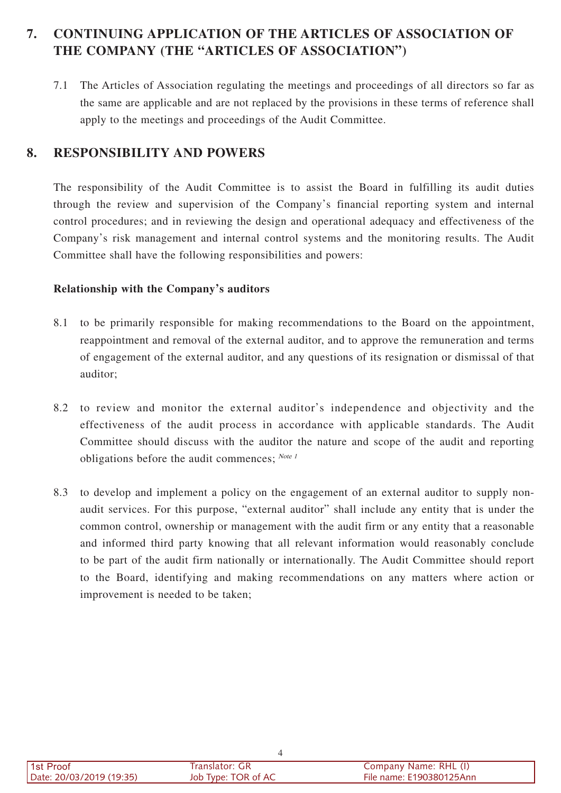# **7. CONTINUING APPLICATION OF THE ARTICLES OF ASSOCIATION OF THE COMPANY (THE "ARTICLES OF ASSOCIATION")**

7.1 The Articles of Association regulating the meetings and proceedings of all directors so far as the same are applicable and are not replaced by the provisions in these terms of reference shall apply to the meetings and proceedings of the Audit Committee.

#### **8. RESPONSIBILITY AND POWERS**

The responsibility of the Audit Committee is to assist the Board in fulfilling its audit duties through the review and supervision of the Company's financial reporting system and internal control procedures; and in reviewing the design and operational adequacy and effectiveness of the Company's risk management and internal control systems and the monitoring results. The Audit Committee shall have the following responsibilities and powers:

#### **Relationship with the Company's auditors**

- 8.1 to be primarily responsible for making recommendations to the Board on the appointment, reappointment and removal of the external auditor, and to approve the remuneration and terms of engagement of the external auditor, and any questions of its resignation or dismissal of that auditor;
- 8.2 to review and monitor the external auditor's independence and objectivity and the effectiveness of the audit process in accordance with applicable standards. The Audit Committee should discuss with the auditor the nature and scope of the audit and reporting obligations before the audit commences;  $^{Note I}$
- 8.3 to develop and implement a policy on the engagement of an external auditor to supply nonaudit services. For this purpose, "external auditor" shall include any entity that is under the common control, ownership or management with the audit firm or any entity that a reasonable and informed third party knowing that all relevant information would reasonably conclude to be part of the audit firm nationally or internationally. The Audit Committee should report to the Board, identifying and making recommendations on any matters where action or improvement is needed to be taken;

| 1st Proof                | -GR<br>ranslator: ، | Company Name: RHL (I)    |  |
|--------------------------|---------------------|--------------------------|--|
| Date: 20/03/2019 (19:35) | Job Type: TOR of AC | File name: E190380125Ann |  |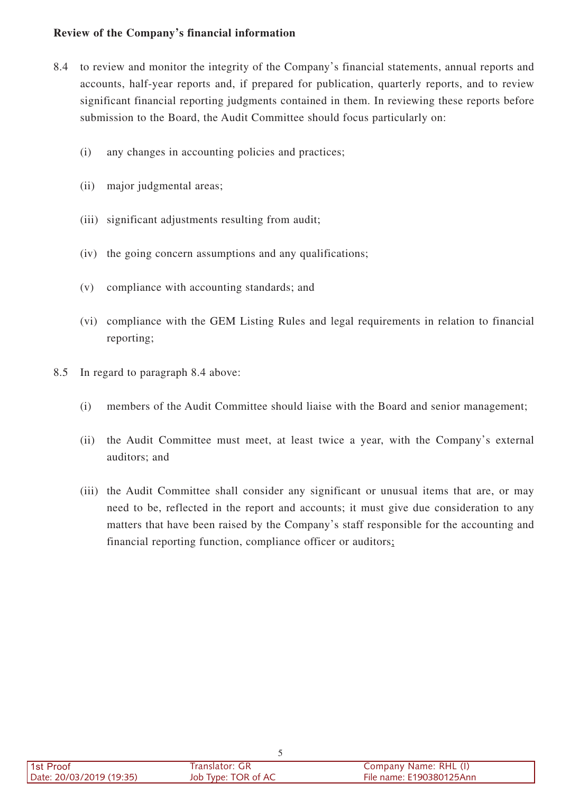#### **Review of the Company's financial information**

- 8.4 to review and monitor the integrity of the Company's financial statements, annual reports and accounts, half-year reports and, if prepared for publication, quarterly reports, and to review significant financial reporting judgments contained in them. In reviewing these reports before submission to the Board, the Audit Committee should focus particularly on:
	- (i) any changes in accounting policies and practices;
	- (ii) major judgmental areas;
	- (iii) significant adjustments resulting from audit;
	- (iv) the going concern assumptions and any qualifications;
	- (v) compliance with accounting standards; and
	- (vi) compliance with the GEM Listing Rules and legal requirements in relation to financial reporting;
- 8.5 In regard to paragraph 8.4 above:
	- (i) members of the Audit Committee should liaise with the Board and senior management;
	- (ii) the Audit Committee must meet, at least twice a year, with the Company's external auditors; and
	- (iii) the Audit Committee shall consider any significant or unusual items that are, or may need to be, reflected in the report and accounts; it must give due consideration to any matters that have been raised by the Company's staff responsible for the accounting and financial reporting function, compliance officer or auditors;

| l 1st Proof              | Translator: GR      | Company Name: RHL (I)    |
|--------------------------|---------------------|--------------------------|
| Date: 20/03/2019 (19:35) | Job Type: TOR of AC | File name: E190380125Ann |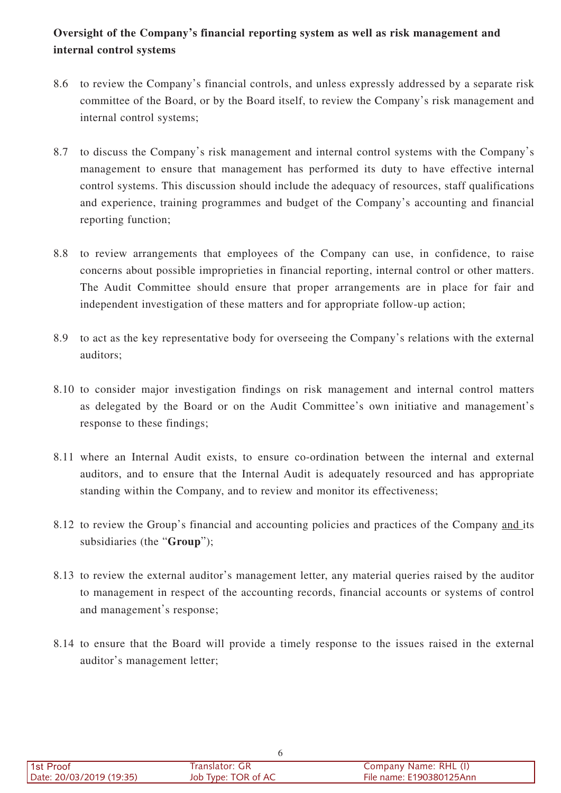## **Oversight of the Company's financial reporting system as well as risk management and internal control systems**

- 8.6 to review the Company's financial controls, and unless expressly addressed by a separate risk committee of the Board, or by the Board itself, to review the Company's risk management and internal control systems;
- 8.7 to discuss the Company's risk management and internal control systems with the Company's management to ensure that management has performed its duty to have effective internal control systems. This discussion should include the adequacy of resources, staff qualifications and experience, training programmes and budget of the Company's accounting and financial reporting function;
- 8.8 to review arrangements that employees of the Company can use, in confidence, to raise concerns about possible improprieties in financial reporting, internal control or other matters. The Audit Committee should ensure that proper arrangements are in place for fair and independent investigation of these matters and for appropriate follow-up action;
- 8.9 to act as the key representative body for overseeing the Company's relations with the external auditors;
- 8.10 to consider major investigation findings on risk management and internal control matters as delegated by the Board or on the Audit Committee's own initiative and management's response to these findings;
- 8.11 where an Internal Audit exists, to ensure co-ordination between the internal and external auditors, and to ensure that the Internal Audit is adequately resourced and has appropriate standing within the Company, and to review and monitor its effectiveness;
- 8.12 to review the Group's financial and accounting policies and practices of the Company and its subsidiaries (the "**Group**");
- 8.13 to review the external auditor's management letter, any material queries raised by the auditor to management in respect of the accounting records, financial accounts or systems of control and management's response;
- 8.14 to ensure that the Board will provide a timely response to the issues raised in the external auditor's management letter;

| l 1st Proof              | Translator: GR      | Company Name: RHL (I)    |
|--------------------------|---------------------|--------------------------|
| Date: 20/03/2019 (19:35) | Job Type: TOR of AC | File name: E190380125Ann |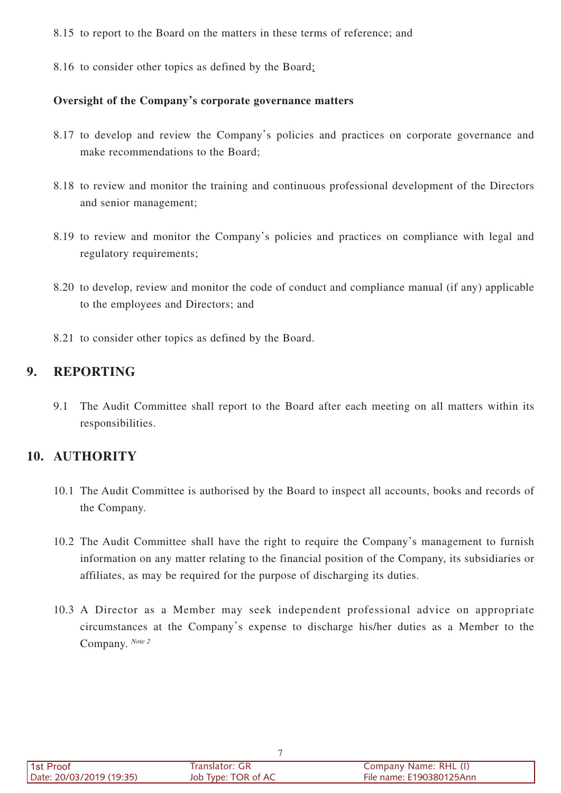8.15 to report to the Board on the matters in these terms of reference; and

8.16 to consider other topics as defined by the Board;

#### **Oversight of the Company's corporate governance matters**

- 8.17 to develop and review the Company's policies and practices on corporate governance and make recommendations to the Board;
- 8.18 to review and monitor the training and continuous professional development of the Directors and senior management;
- 8.19 to review and monitor the Company's policies and practices on compliance with legal and regulatory requirements;
- 8.20 to develop, review and monitor the code of conduct and compliance manual (if any) applicable to the employees and Directors; and
- 8.21 to consider other topics as defined by the Board.

## **9. REPORTING**

9.1 The Audit Committee shall report to the Board after each meeting on all matters within its responsibilities.

## **10. AUTHORITY**

- 10.1 The Audit Committee is authorised by the Board to inspect all accounts, books and records of the Company.
- 10.2 The Audit Committee shall have the right to require the Company's management to furnish information on any matter relating to the financial position of the Company, its subsidiaries or affiliates, as may be required for the purpose of discharging its duties.
- 10.3 A Director as a Member may seek independent professional advice on appropriate circumstances at the Company's expense to discharge his/her duties as a Member to the Company. Note 2

| 1st Proof                | Translator: GR      | Company Name: RHL (I)    |
|--------------------------|---------------------|--------------------------|
| Date: 20/03/2019 (19:35) | Job Type: TOR of AC | File name: E190380125Ann |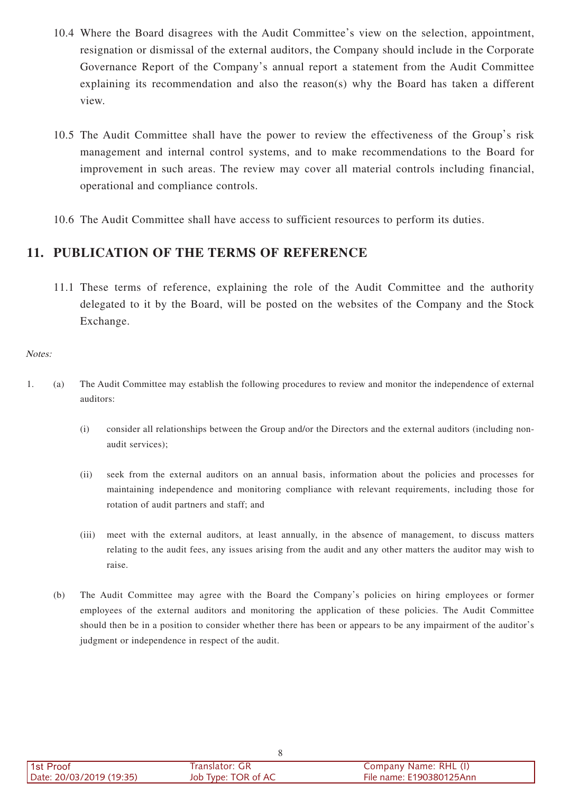- 10.4 Where the Board disagrees with the Audit Committee's view on the selection, appointment, resignation or dismissal of the external auditors, the Company should include in the Corporate Governance Report of the Company's annual report a statement from the Audit Committee explaining its recommendation and also the reason(s) why the Board has taken a different view.
- 10.5 The Audit Committee shall have the power to review the effectiveness of the Group's risk management and internal control systems, and to make recommendations to the Board for improvement in such areas. The review may cover all material controls including financial, operational and compliance controls.
- 10.6 The Audit Committee shall have access to sufficient resources to perform its duties.

#### **11. PUBLICATION OF THE TERMS OF REFERENCE**

11.1 These terms of reference, explaining the role of the Audit Committee and the authority delegated to it by the Board, will be posted on the websites of the Company and the Stock Exchange.

#### Notes:

- 1. (a) The Audit Committee may establish the following procedures to review and monitor the independence of external auditors:
	- (i) consider all relationships between the Group and/or the Directors and the external auditors (including nonaudit services);
	- (ii) seek from the external auditors on an annual basis, information about the policies and processes for maintaining independence and monitoring compliance with relevant requirements, including those for rotation of audit partners and staff; and
	- (iii) meet with the external auditors, at least annually, in the absence of management, to discuss matters relating to the audit fees, any issues arising from the audit and any other matters the auditor may wish to raise.
	- (b) The Audit Committee may agree with the Board the Company's policies on hiring employees or former employees of the external auditors and monitoring the application of these policies. The Audit Committee should then be in a position to consider whether there has been or appears to be any impairment of the auditor's judgment or independence in respect of the audit.

| l 1st Proof              | Translator: GR      | Company Name: RHL (I)    |
|--------------------------|---------------------|--------------------------|
| Date: 20/03/2019 (19:35) | Job Type: TOR of AC | File name: E190380125Ann |